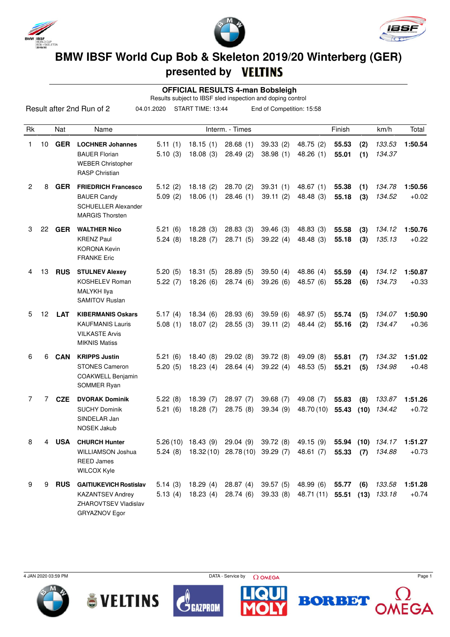





## **BMW IBSF World Cup Bob & Skeleton 2019/20 Winterberg (GER) presented by**

 **OFFICIAL RESULTS 4-man Bobsleigh**

Results subject to IBSF sled inspection and doping control

|    |    |            | Result after 2nd Run of 2                                                                                | 04.01.2020         | START TIME: 13:44    |                      | End of Competition: 15:58 |                                                                                                                         |                |             |                  |                    |
|----|----|------------|----------------------------------------------------------------------------------------------------------|--------------------|----------------------|----------------------|---------------------------|-------------------------------------------------------------------------------------------------------------------------|----------------|-------------|------------------|--------------------|
| Rk |    | Nat        | Name                                                                                                     |                    |                      | Interm. - Times      |                           |                                                                                                                         | Finish         |             | km/h             | Total              |
| 1  | 10 | <b>GER</b> | <b>LOCHNER Johannes</b><br><b>BAUER Florian</b><br><b>WEBER Christopher</b><br><b>RASP Christian</b>     | 5.11(1)<br>5.10(3) | 18.15(1)<br>18.08(3) | 28.68(1)<br>28.49(2) | 39.33(2)<br>38.98(1)      | 48.75 (2)<br>48.26(1)                                                                                                   | 55.53<br>55.01 | (2)<br>(1)  | 133.53<br>134.37 | 1:50.54            |
| 2  | 8  | <b>GER</b> | <b>FRIEDRICH Francesco</b><br><b>BAUER Candy</b><br><b>SCHUELLER Alexander</b><br><b>MARGIS Thorsten</b> | 5.12(2)<br>5.09(2) | 18.18(2)<br>18.06(1) | 28.70(2)<br>28.46(1) | 39.31(1)<br>39.11(2)      | 48.67 (1)<br>48.48 (3)                                                                                                  | 55.38<br>55.18 | (1)<br>(3)  | 134.78<br>134.52 | 1:50.56<br>$+0.02$ |
| 3  | 22 | <b>GER</b> | <b>WALTHER Nico</b><br><b>KRENZ Paul</b><br><b>KORONA Kevin</b><br><b>FRANKE Eric</b>                    | 5.21(6)<br>5.24(8) | 18.28(3)<br>18.28(7) | 28.83(3)<br>28.71(5) | 39.46(3)<br>39.22(4)      | 48.83 (3)<br>48.48 (3)                                                                                                  | 55.58<br>55.18 | (3)<br>(3)  | 134.12<br>135.13 | 1:50.76<br>$+0.22$ |
| 4  | 13 | <b>RUS</b> | <b>STULNEV Alexey</b><br><b>KOSHELEV Roman</b><br>MALYKH Ilya<br><b>SAMITOV Ruslan</b>                   | 5.20(5)<br>5.22(7) | 18.31(5)<br>18.26(6) | 28.89(5)<br>28.74(6) | 39.50(4)<br>39.26(6)      | 48.86(4)<br>48.57 (6)                                                                                                   | 55.59<br>55.28 | (4)<br>(6)  | 134.12<br>134.73 | 1:50.87<br>$+0.33$ |
| 5  | 12 | <b>LAT</b> | <b>KIBERMANIS Oskars</b><br><b>KAUFMANIS Lauris</b><br><b>VILKASTE Arvis</b><br><b>MIKNIS Matiss</b>     | 5.17(4)<br>5.08(1) | 18.34(6)<br>18.07(2) | 28.93(6)<br>28.55(3) | 39.59(6)<br>39.11(2)      | 48.97 (5)<br>48.44 (2)                                                                                                  | 55.74<br>55.16 | (5)<br>(2)  | 134.07<br>134.47 | 1:50.90<br>$+0.36$ |
| 6  | 6  | <b>CAN</b> | <b>KRIPPS Justin</b><br><b>STONES Cameron</b><br><b>COAKWELL Benjamin</b><br>SOMMER Ryan                 | 5.21(6)<br>5.20(5) | 18.40(8)<br>18.23(4) | 29.02(8)<br>28.64(4) | 39.72(8)<br>39.22(4)      | 49.09 (8)<br>48.53 (5)                                                                                                  | 55.81<br>55.21 | (7)<br>(5)  | 134.32<br>134.98 | 1:51.02<br>$+0.48$ |
| 7  | 7  | <b>CZE</b> | <b>DVORAK Dominik</b><br><b>SUCHY Dominik</b><br>SINDELAR Jan<br><b>NOSEK Jakub</b>                      | 5.22(8)<br>5.21(6) | 18.39(7)<br>18.28(7) | 28.97(7)<br>28.75(8) | 39.68(7)<br>39.34(9)      | 49.08 (7)<br>48.70 (10)                                                                                                 | 55.83<br>55.43 | (8)<br>(10) | 133.87<br>134.42 | 1:51.26<br>$+0.72$ |
| 8  | 4  | <b>USA</b> | <b>CHURCH Hunter</b><br>WILLIAMSON Joshua<br><b>REED James</b><br><b>WILCOX Kyle</b>                     |                    | $5.26(10)$ 18.43 (9) |                      | 29.04 (9) 39.72 (8)       | 49.15 (9) 55.94 (10) 134.17 1:51.27<br>5.24 (8) 18.32 (10) 28.78 (10) 39.29 (7) 48.61 (7) 55.33 (7) 134.88              |                |             |                  | $+0.73$            |
| 9  | 9  |            | <b>RUS</b> GAITIUKEVICH Rostislav<br><b>KAZANTSEV Andrey</b><br>ZHAROVTSEV Vladislav<br>GRYAZNOV Egor    |                    |                      |                      |                           | 5.14 (3) 18.29 (4) 28.87 (4) 39.57 (5) 48.99 (6)<br>5.13 (4) 18.23 (4) 28.74 (6) 39.33 (8) 48.71 (11) 55.51 (13) 133.18 | 55.77 (6)      |             | 133.58           | 1:51.28<br>$+0.74$ |









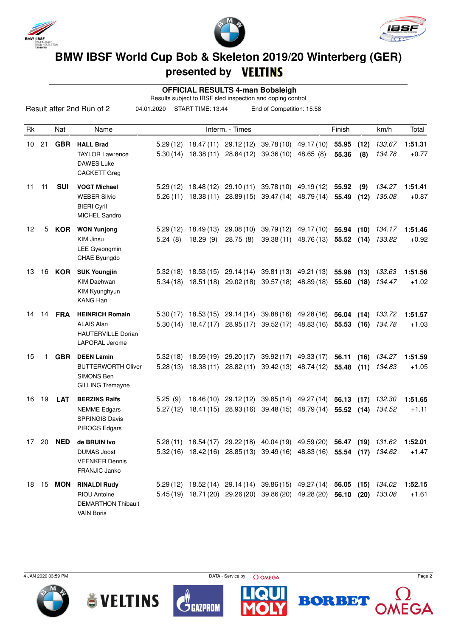





## **BMW IBSF World Cup Bob & Skeleton 2019/20 Winterberg (GER) presented by**

 **OFFICIAL RESULTS 4-man Bobsleigh**

Results subject to IBSF sled inspection and doping control

|                 |    |                  | Result after 2nd Run of 2                                                                    | 04.01.2020          | START TIME: 13:44      |                                  | End of Competition: 15:58                                                                                                                   |                                                           |                |              |                  |                    |
|-----------------|----|------------------|----------------------------------------------------------------------------------------------|---------------------|------------------------|----------------------------------|---------------------------------------------------------------------------------------------------------------------------------------------|-----------------------------------------------------------|----------------|--------------|------------------|--------------------|
| Rk              |    | Nat              | Name                                                                                         |                     |                        | Interm. - Times                  |                                                                                                                                             |                                                           | Finish         |              | km/h             | Total              |
| 10 <sup>1</sup> | 21 | <b>GBR</b>       | <b>HALL Brad</b><br><b>TAYLOR Lawrence</b><br><b>DAWES Luke</b><br><b>CACKETT Greg</b>       | 5.29(12)            | $5.30(14)$ 18.38(11)   |                                  | 18.47 (11) 29.12 (12) 39.78 (10) 49.17 (10)<br>28.84 (12) 39.36 (10) 48.65 (8)                                                              |                                                           | 55.95<br>55.36 | (12)<br>(8)  | 133.67<br>134.78 | 1:51.31<br>$+0.77$ |
| 11              | 11 | <b>SUI</b>       | <b>VOGT Michael</b><br><b>WEBER Silvio</b><br><b>BIERI Cyril</b><br><b>MICHEL Sandro</b>     |                     | $5.26(11)$ 18.38 (11)  |                                  | 5.29 (12) 18.48 (12) 29.10 (11) 39.78 (10) 49.19 (12) 55.92<br>28.89 (15) 39.47 (14) 48.79 (14)                                             |                                                           | 55.49          | (9)<br>(12)  | 134.27<br>135.08 | 1:51.41<br>$+0.87$ |
| 12              | 5  | KOR              | <b>WON Yunjong</b><br><b>KIM Jinsu</b><br>LEE Gyeongmin<br>CHAE Byungdo                      | 5.29(12)<br>5.24(8) | 18.49 (13)<br>18.29(9) | 29.08(10)<br>28.75(8)            |                                                                                                                                             | 39.79 (12) 49.17 (10)<br>39.38 (11) 48.76 (13) 55.52 (14) | 55.94 (10)     |              | 134.17<br>133.82 | 1:51.46<br>$+0.92$ |
| 13              |    | 16 KOR           | <b>SUK Youngjin</b><br><b>KIM Daehwan</b><br>KIM Kyunghyun<br><b>KANG Han</b>                |                     |                        |                                  | $5.32(18)$ 18.53 (15) 29.14 (14) 39.81 (13) 49.21 (13)<br>$5.34(18)$ 18.51 (18) 29.02 (18) 39.57 (18) 48.89 (18)                            |                                                           | 55.96<br>55.60 | (13)<br>(18) | 133.63<br>134.47 | 1:51.56<br>$+1.02$ |
| 14              | 14 | <b>FRA</b>       | <b>HEINRICH Romain</b><br><b>ALAIS Alan</b><br><b>HAUTERVILLE Dorian</b><br>LAPORAL Jerome   |                     | $5.30(14)$ 18.47(17)   |                                  | $5.30(17)$ 18.53 (15) 29.14 (14) 39.88 (16) 49.28 (16) 56.04 (14)<br>28.95 (17) 39.52 (17)                                                  | 48.83 (16) 55.53 (16)                                     |                |              | 133.72<br>134.78 | 1:51.57<br>$+1.03$ |
| 15              | 1  | <b>GBR</b>       | <b>DEEN Lamin</b><br><b>BUTTERWORTH Oliver</b><br>SIMONS Ben<br><b>GILLING Tremayne</b>      |                     | $5.28(13)$ 18.38 (11)  | $5.32(18)$ 18.59 (19) 29.20 (17) | 28.82 (11) 39.42 (13) 48.74 (12)                                                                                                            | 39.92 (17) 49.33 (17)                                     | 56.11<br>55.48 | (16)<br>(11) | 134.27<br>134.83 | 1:51.59<br>$+1.05$ |
| 16              | 19 | <b>LAT</b>       | <b>BERZINS Ralfs</b><br><b>NEMME</b> Edgars<br><b>SPRINGIS Davis</b><br>PIROGS Edgars        | 5.25(9)<br>5.27(12) |                        |                                  | 18.46 (10) 29.12 (12) 39.85 (14) 49.27 (14) 56.13 (17)<br>18.41 (15) 28.93 (16) 39.48 (15) 48.79 (14) 55.52 (14) 134.52                     |                                                           |                |              | 132.30           | 1:51.65<br>$+1.11$ |
| 17              | 20 | <b>NED</b>       | de BRUIN Ivo<br><b>DUMAS Joost</b><br><b>VEENKER Dennis</b><br><b>FRANJIC Janko</b>          | 5.28(11)            |                        |                                  | 18.54 (17) 29.22 (18) 40.04 (19) 49.59 (20)<br>5.32(16) 18.42(16) 28.85(13) 39.49(16) 48.83(16) 55.54 (17) 134.62                           |                                                           | 56.47          | (19)         | 131.62           | 1:52.01<br>$+1.47$ |
|                 |    | 18 15 <b>MON</b> | <b>RINALDI Rudy</b><br><b>RIOU Antoine</b><br><b>DEMARTHON Thibault</b><br><b>VAIN Boris</b> |                     |                        |                                  | 5.29 (12) 18.52 (14) 29.14 (14) 39.86 (15) 49.27 (14) 56.05 (15) 134.02<br>5.45 (19) 18.71 (20) 29.26 (20) 39.86 (20) 49.28 (20) 56.10 (20) |                                                           |                |              | 133.08           | 1:52.15<br>$+1.61$ |